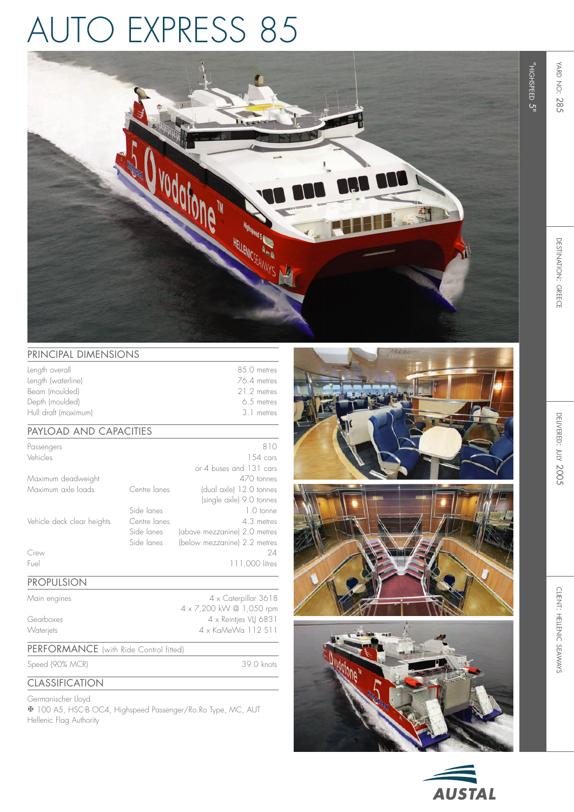# auto express 85



) 39.0 knots

## PRINCIPAL DIMENSIONS

| Length overall       | 8.5.0 metres |
|----------------------|--------------|
| Length (waterline)   | 76.4 metres  |
| Beam (moulded)       | 21.2 metres  |
| Depth (moulded)      | 6.5 metres   |
| Hull draft (maximum) | 3 1 metres   |

## Payload and capacities

| Passengers                 |              | 810                          |
|----------------------------|--------------|------------------------------|
| Vehicles                   |              | $154 \text{ cars}$           |
|                            |              | or 4 buses and 131 cars      |
| Maximum deadweight         |              | 470 tonnes                   |
| Maximum axle loads         | Centre lanes | (dual axle) 12.0 tonnes      |
|                            |              | (single axle) 9.0 tonnes     |
|                            | Side lanes   | 1.0 tonne                    |
| Vehicle deck clear heights | Centre lanes | 4.3 metres                   |
|                            | Side lanes   | (above mezzanine) 2.0 metres |
|                            | Side lanes   | (below mezzanine) 2.2 metres |
| Crew                       |              | 24                           |
| Fuel                       |              | 0 litres                     |

#### Propulsion

Main engines 4 x Caterpillar 3618 4 x 7,200 kW @ 1,050 rpm Gearboxes 4 x Reintjes VLJ 6831 Waterjets 4 x KaMeWa 112 S11

#### PERFORMANCE (with Ride Control fitted)

Speed (90% MC R

**CLASSIFICATION** 

Germanischer Lloyd

**X** 100 A5, HSC-B OC4, Highspeed Passenger/Ro.Ro Type, MC, A Hellenic Flag Authority









"highspeed

<u>ር</u>